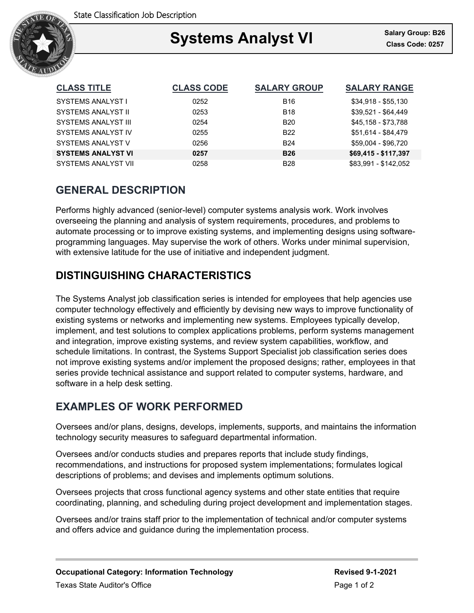

### Ξ **Systems Analyst VI Class Code: 0257**

| <b>CLASS TITLE</b>         | <b>CLASS CODE</b> | <b>SALARY GROUP</b> | <b>SALARY RANGE</b>  |
|----------------------------|-------------------|---------------------|----------------------|
| SYSTEMS ANALYST I          | 0252              | <b>B16</b>          | $$34,918 - $55,130$  |
| <b>SYSTEMS ANALYST II</b>  | 0253              | <b>B18</b>          | \$39,521 - \$64,449  |
| <b>SYSTEMS ANALYST III</b> | 0254              | <b>B20</b>          | \$45,158 - \$73,788  |
| SYSTEMS ANALYST IV         | 0255              | B <sub>22</sub>     | \$51,614 - \$84,479  |
| SYSTEMS ANALYST V          | 0256              | <b>B24</b>          | \$59,004 - \$96,720  |
| <b>SYSTEMS ANALYST VI</b>  | 0257              | <b>B26</b>          | \$69,415 - \$117,397 |
| <b>SYSTEMS ANALYST VII</b> | 0258              | <b>B28</b>          | \$83,991 - \$142.052 |

# **GENERAL DESCRIPTION**

Performs highly advanced (senior-level) computer systems analysis work. Work involves overseeing the planning and analysis of system requirements, procedures, and problems to automate processing or to improve existing systems, and implementing designs using softwareprogramming languages. May supervise the work of others. Works under minimal supervision, with extensive latitude for the use of initiative and independent judgment.

# **DISTINGUISHING CHARACTERISTICS**

The Systems Analyst job classification series is intended for employees that help agencies use computer technology effectively and efficiently by devising new ways to improve functionality of existing systems or networks and implementing new systems. Employees typically develop, implement, and test solutions to complex applications problems, perform systems management and integration, improve existing systems, and review system capabilities, workflow, and schedule limitations. In contrast, the Systems Support Specialist job classification series does not improve existing systems and/or implement the proposed designs; rather, employees in that series provide technical assistance and support related to computer systems, hardware, and software in a help desk setting.

# **EXAMPLES OF WORK PERFORMED**

Oversees and/or plans, designs, develops, implements, supports, and maintains the information technology security measures to safeguard departmental information.

Oversees and/or conducts studies and prepares reports that include study findings, recommendations, and instructions for proposed system implementations; formulates logical descriptions of problems; and devises and implements optimum solutions.

Oversees projects that cross functional agency systems and other state entities that require coordinating, planning, and scheduling during project development and implementation stages.

Oversees and/or trains staff prior to the implementation of technical and/or computer systems and offers advice and guidance during the implementation process.